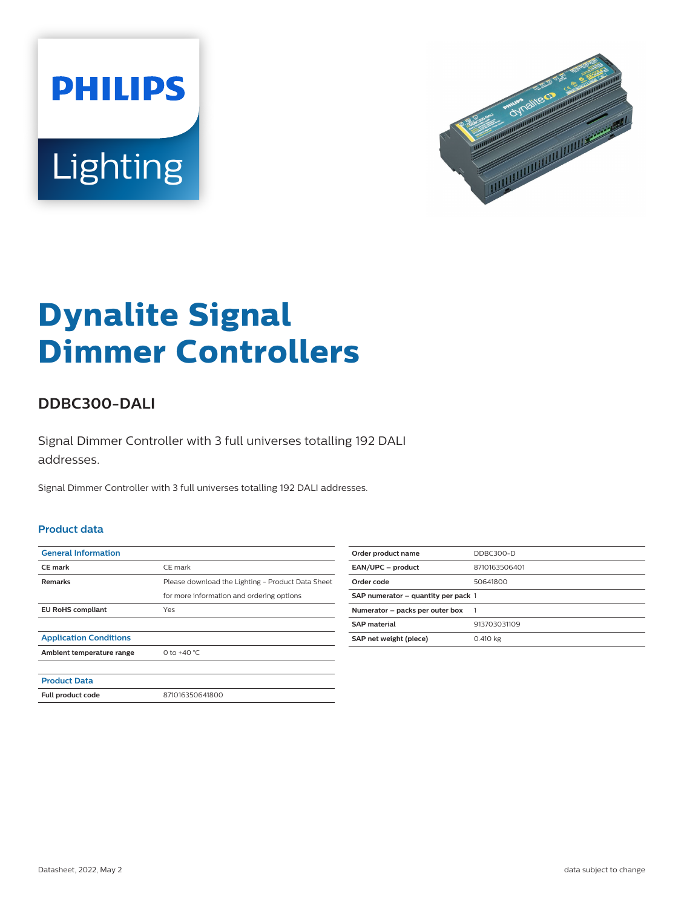



# **Dynalite Signal Dimmer Controllers**

## **DDBC300-DALI**

Signal Dimmer Controller with 3 full universes totalling 192 DALI addresses.

Signal Dimmer Controller with 3 full universes totalling 192 DALI addresses.

#### **Product data**

| <b>General Information</b>    |                                                   |
|-------------------------------|---------------------------------------------------|
| <b>CE</b> mark                | CE mark                                           |
| <b>Remarks</b>                | Please download the Lighting - Product Data Sheet |
|                               | for more information and ordering options         |
| <b>EU RoHS compliant</b>      | Yes                                               |
|                               |                                                   |
| <b>Application Conditions</b> |                                                   |
| Ambient temperature range     | 0 to $+40 °C$                                     |
|                               |                                                   |
| <b>Product Data</b>           |                                                   |
| Full product code             | 871016350641800                                   |

| Order product name                  | DDBC300-D     |
|-------------------------------------|---------------|
| EAN/UPC - product                   | 8710163506401 |
| Order code                          | 50641800      |
| SAP numerator - quantity per pack 1 |               |
| Numerator - packs per outer box     |               |
| <b>SAP</b> material                 | 913703031109  |
| SAP net weight (piece)              | 0.410 kg      |
|                                     |               |